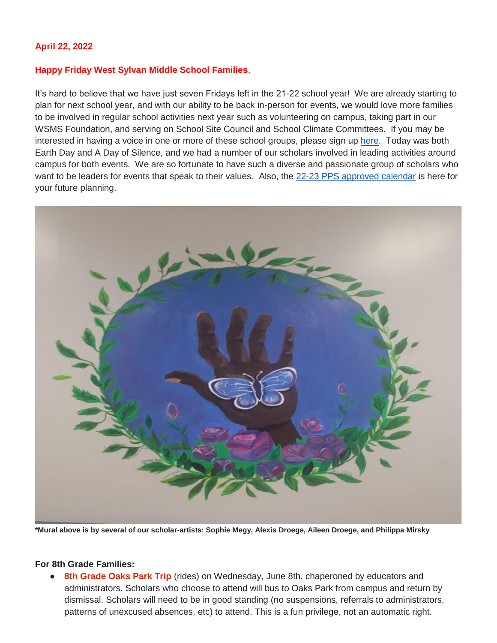#### **April 22, 2022**

#### **Happy Friday West Sylvan Middle School Families**,

It's hard to believe that we have just seven Fridays left in the 21-22 school year! We are already starting to plan for next school year, and with our ability to be back in-person for events, we would love more families to be involved in regular school activities next year such as volunteering on campus, taking part in our WSMS Foundation, and serving on School Site Council and School Climate Committees. If you may be interested in having a voice in one or more of these school groups, please sign up [here.](https://forms.gle/FSm61TFDpf34yZ2e9) Today was both Earth Day and A Day of Silence, and we had a number of our scholars involved in leading activities around campus for both events. We are so fortunate to have such a diverse and passionate group of scholars who want to be leaders for events that speak to their values. Also, the [22-23 PPS approved calendar](https://drive.google.com/file/d/16EfYsTSv4zPCaLpkxQlc5eFqWAvIDBtl/view?usp=sharing) is here for your future planning.



**\*Mural above is by several of our scholar-artists: Sophie Megy, Alexis Droege, Aileen Droege, and Philippa Mirsky** 

#### **For 8th Grade Families:**

8th Grade Oaks Park Trip (rides) on Wednesday, June 8th, chaperoned by educators and administrators. Scholars who choose to attend will bus to Oaks Park from campus and return by dismissal. Scholars will need to be in good standing (no suspensions, referrals to administrators, patterns of unexcused absences, etc) to attend. This is a fun privilege, not an automatic right.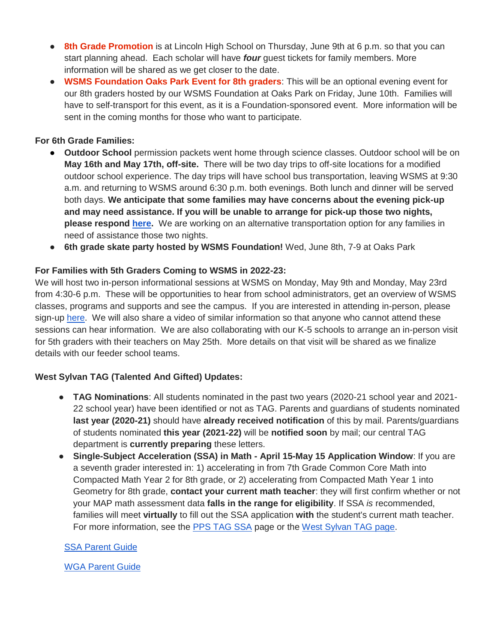- **8th Grade Promotion** is at Lincoln High School on Thursday, June 9th at 6 p.m. so that you can start planning ahead. Each scholar will have *four* guest tickets for family members. More information will be shared as we get closer to the date.
- **WSMS Foundation Oaks Park Event for 8th graders**: This will be an optional evening event for our 8th graders hosted by our WSMS Foundation at Oaks Park on Friday, June 10th. Families will have to self-transport for this event, as it is a Foundation-sponsored event. More information will be sent in the coming months for those who want to participate.

# **For 6th Grade Families:**

- **Outdoor School** permission packets went home through science classes. Outdoor school will be on **May 16th and May 17th, off-site.** There will be two day trips to off-site locations for a modified outdoor school experience. The day trips will have school bus transportation, leaving WSMS at 9:30 a.m. and returning to WSMS around 6:30 p.m. both evenings. Both lunch and dinner will be served both days. **We anticipate that some families may have concerns about the evening pick-up and may need assistance. If you will be unable to arrange for pick-up those two nights, please respond [here.](https://forms.gle/hy6fptsqA3aFjc1Z8)** We are working on an alternative transportation option for any families in need of assistance those two nights.
- **6th grade skate party hosted by WSMS Foundation!** Wed, June 8th, 7-9 at Oaks Park

# **For Families with 5th Graders Coming to WSMS in 2022-23:**

We will host two in-person informational sessions at WSMS on Monday, May 9th and Monday, May 23rd from 4:30-6 p.m. These will be opportunities to hear from school administrators, get an overview of WSMS classes, programs and supports and see the campus. If you are interested in attending in-person, please sign-up [here.](https://forms.gle/ZnyhEwFhjWuacQd6A) We will also share a video of similar information so that anyone who cannot attend these sessions can hear information. We are also collaborating with our K-5 schools to arrange an in-person visit for 5th graders with their teachers on May 25th. More details on that visit will be shared as we finalize details with our feeder school teams.

# **West Sylvan TAG (Talented And Gifted) Updates:**

- **TAG Nominations**: All students nominated in the past two years (2020-21 school year and 2021- 22 school year) have been identified or not as TAG. Parents and guardians of students nominated **last year (2020-21)** should have **already received notification** of this by mail. Parents/guardians of students nominated **this year (2021-22)** will be **notified soon** by mail; our central TAG department is **currently preparing** these letters.
- **Single-Subject Acceleration (SSA) in Math - April 15-May 15 Application Window**: If you are a seventh grader interested in: 1) accelerating in from 7th Grade Common Core Math into Compacted Math Year 2 for 8th grade, or 2) accelerating from Compacted Math Year 1 into Geometry for 8th grade, **contact your current math teacher**: they will first confirm whether or not your MAP math assessment data **falls in the range for eligibility**. If SSA *is* recommended, families will meet **virtually** to fill out the SSA application **with** the student's current math teacher. For more information, see the [PPS TAG SSA](https://www.pps.net/Page/2886) page or the [West Sylvan TAG page.](https://sites.google.com/pps.net/west-sylvan-tag/)

# [SSA Parent Guide](https://drive.google.com/file/d/1uyNxlw2MiYVSYrKfgEChsEQjTWw-Fz_V/view?usp=sharing)

[WGA Parent Guide](https://drive.google.com/file/d/1AT8aGRXhvghzlB3N1zRAvzEdnpgH_EtN/view?usp=sharing)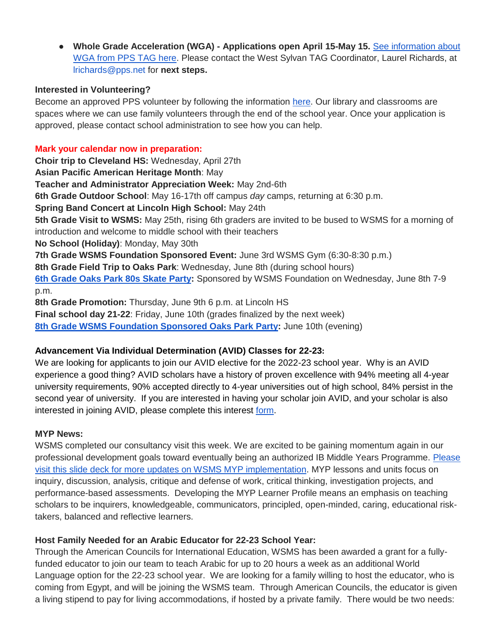● **Whole Grade Acceleration (WGA) - Applications open April 15-May 15.** [See information about](https://www.pps.net/Page/2888)  [WGA from PPS TAG here.](https://www.pps.net/Page/2888) Please contact the West Sylvan TAG Coordinator, Laurel Richards, at lrichards@pps.net for **next steps.**

#### **Interested in Volunteering?**

Become an approved PPS volunteer by following the information [here.](https://www.pps.net/volunteer) Our library and classrooms are spaces where we can use family volunteers through the end of the school year. Once your application is approved, please contact school administration to see how you can help.

# **Mark your calendar now in preparation:**

**Choir trip to Cleveland HS:** Wednesday, April 27th **Asian Pacific American Heritage Month**: May **Teacher and Administrator Appreciation Week:** May 2nd-6th **6th Grade Outdoor School**: May 16-17th off campus *day* camps, returning at 6:30 p.m. **Spring Band Concert at Lincoln High School:** May 24th **5th Grade Visit to WSMS:** May 25th, rising 6th graders are invited to be bused to WSMS for a morning of introduction and welcome to middle school with their teachers **No School (Holiday)**: Monday, May 30th **7th Grade WSMS Foundation Sponsored Event:** June 3rd WSMS Gym (6:30-8:30 p.m.) **8th Grade Field Trip to Oaks Park**: Wednesday, June 8th (during school hours) **[6th Grade Oaks Park 80s Skate Party:](https://drive.google.com/file/d/1HX8ZSQKzyqWvLRfXLGu2Y1wta5BjPMTa/view?usp=sharing)** Sponsored by WSMS Foundation on Wednesday, June 8th 7-9 p.m. **8th Grade Promotion:** Thursday, June 9th 6 p.m. at Lincoln HS **Final school day 21-22**: Friday, June 10th (grades finalized by the next week)

**[8th Grade WSMS Foundation Sponsored Oaks Park Party:](https://drive.google.com/file/d/1Xmnh7GZQ4CeU37XYKCGmhbngkxRpoOOp/view?usp=sharing)** June 10th (evening)

# **Advancement Via Individual Determination (AVID) Classes for 22-23:**

We are looking for applicants to join our AVID elective for the 2022-23 school year. Why is an AVID experience a good thing? AVID scholars have a history of proven excellence with 94% meeting all 4-year university requirements, 90% accepted directly to 4-year universities out of high school, 84% persist in the second year of university. If you are interested in having your scholar join AVID, and your scholar is also interested in joining AVID, please complete this interest [form.](https://docs.google.com/forms/d/e/1FAIpQLSdpPNrTbbG1YoO1o0bwfKFg3SDu-UarWp5LE59aNPm0xsaCQg/viewform?usp=sf_link)

# **MYP News:**

WSMS completed our consultancy visit this week. We are excited to be gaining momentum again in our professional development goals toward eventually being an authorized IB Middle Years Programme. [Please](https://docs.google.com/presentation/d/17SY-I5PfW5t18hZZ0ELhA85-iVSoBrj6_zKBGUaFTP8/edit?usp=sharing)  visit [this slide deck for more updates on WSMS MYP implementation.](https://docs.google.com/presentation/d/17SY-I5PfW5t18hZZ0ELhA85-iVSoBrj6_zKBGUaFTP8/edit?usp=sharing) MYP lessons and units focus on inquiry, discussion, analysis, critique and defense of work, critical thinking, investigation projects, and performance-based assessments. Developing the MYP Learner Profile means an emphasis on teaching scholars to be inquirers, knowledgeable, communicators, principled, open-minded, caring, educational risktakers, balanced and reflective learners.

# **Host Family Needed for an Arabic Educator for 22-23 School Year:**

Through the American Councils for International Education, WSMS has been awarded a grant for a fullyfunded educator to join our team to teach Arabic for up to 20 hours a week as an additional World Language option for the 22-23 school year. We are looking for a family willing to host the educator, who is coming from Egypt, and will be joining the WSMS team. Through American Councils, the educator is given a living stipend to pay for living accommodations, if hosted by a private family. There would be two needs: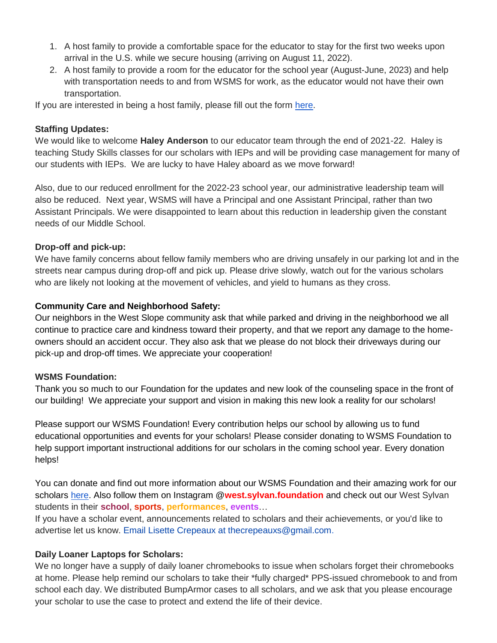- 1. A host family to provide a comfortable space for the educator to stay for the first two weeks upon arrival in the U.S. while we secure housing (arriving on August 11, 2022).
- 2. A host family to provide a room for the educator for the school year (August-June, 2023) and help with transportation needs to and from WSMS for work, as the educator would not have their own transportation.

If you are interested in being a host family, please fill out the form [here.](https://forms.gle/Ljte5CwpWQZtUZCN6)

# **Staffing Updates:**

We would like to welcome **Haley Anderson** to our educator team through the end of 2021-22. Haley is teaching Study Skills classes for our scholars with IEPs and will be providing case management for many of our students with IEPs. We are lucky to have Haley aboard as we move forward!

Also, due to our reduced enrollment for the 2022-23 school year, our administrative leadership team will also be reduced. Next year, WSMS will have a Principal and one Assistant Principal, rather than two Assistant Principals. We were disappointed to learn about this reduction in leadership given the constant needs of our Middle School.

# **Drop-off and pick-up:**

We have family concerns about fellow family members who are driving unsafely in our parking lot and in the streets near campus during drop-off and pick up. Please drive slowly, watch out for the various scholars who are likely not looking at the movement of vehicles, and yield to humans as they cross.

# **Community Care and Neighborhood Safety:**

Our neighbors in the West Slope community ask that while parked and driving in the neighborhood we all continue to practice care and kindness toward their property, and that we report any damage to the homeowners should an accident occur. They also ask that we please do not block their driveways during our pick-up and drop-off times. We appreciate your cooperation!

# **WSMS Foundation:**

Thank you so much to our Foundation for the updates and new look of the counseling space in the front of our building! We appreciate your support and vision in making this new look a reality for our scholars!

Please support our WSMS Foundation! Every contribution helps our school by allowing us to fund educational opportunities and events for your scholars! Please consider donating to WSMS Foundation to help support important instructional additions for our scholars in the coming school year. Every donation helps!

You can donate and find out more information about our WSMS Foundation and their amazing work for our scholars [here.](https://www.westsylvanfoundation.com/) Also follow them on Instagram @**west.sylvan.foundation** and check out our West Sylvan students in their **school**, **sports**, **performances**, **events**…

If you have a scholar event, announcements related to scholars and their achievements, or you'd like to advertise let us know. Email Lisette Crepeaux at thecrepeauxs@gmail.com.

# **Daily Loaner Laptops for Scholars:**

We no longer have a supply of daily loaner chromebooks to issue when scholars forget their chromebooks at home. Please help remind our scholars to take their \*fully charged\* PPS-issued chromebook to and from school each day. We distributed BumpArmor cases to all scholars, and we ask that you please encourage your scholar to use the case to protect and extend the life of their device.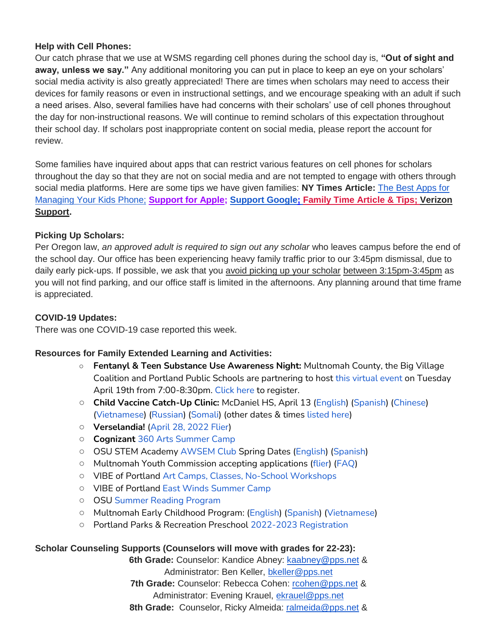#### **Help with Cell Phones:**

Our catch phrase that we use at WSMS regarding cell phones during the school day is, **"Out of sight and away, unless we say."** Any additional monitoring you can put in place to keep an eye on your scholars' social media activity is also greatly appreciated! There are times when scholars may need to access their devices for family reasons or even in instructional settings, and we encourage speaking with an adult if such a need arises. Also, several families have had concerns with their scholars' use of cell phones throughout the day for non-instructional reasons. We will continue to remind scholars of this expectation throughout their school day. If scholars post inappropriate content on social media, please report the account for review.

Some families have inquired about apps that can restrict various features on cell phones for scholars throughout the day so that they are not on social media and are not tempted to engage with others through social media platforms. Here are some tips we have given families: **NY Times Article:** [The Best Apps for](https://www.nytimes.com/wirecutter/reviews/best-apps-to-manage-your-kids-phone/)  [Managing Your Kids Phone;](https://www.nytimes.com/wirecutter/reviews/best-apps-to-manage-your-kids-phone/) **[Support for Apple;](https://support.apple.com/guide/iphone/set-up-parental-controls-iph00ba7d632/ios) [Support Google](https://support.google.com/families/answer/7103340?hl=en)[;](https://familytime.io/) [Family Time Article & Tips;](https://familytime.io/) [Verizon](https://www.verizon.com/support/verizon-smart-family-restrictions-video/)  [Support.](https://www.verizon.com/support/verizon-smart-family-restrictions-video/)** 

# **Picking Up Scholars:**

Per Oregon law, *an approved adult is required to sign out any scholar* who leaves campus before the end of the school day. Our office has been experiencing heavy family traffic prior to our 3:45pm dismissal, due to daily early pick-ups. If possible, we ask that you avoid picking up your scholar between 3:15pm-3:45pm as you will not find parking, and our office staff is limited in the afternoons. Any planning around that time frame is appreciated.

#### **COVID-19 Updates:**

There was one COVID-19 case reported this week.

# **Resources for Family Extended Learning and Activities:**

- **Fentanyl & Teen Substance Use Awareness Night:** Multnomah County, the Big Village Coalition and Portland Public Schools are partnering to host [this virtual event](https://drive.google.com/file/d/1rpkL62vQgFLHluBIm9tM3b4W_L-bhfVa/view) on Tuesday April 19th from 7:00-8:30pm. [Click here](https://us02web.zoom.us/meeting/register/tZAsf--upjouE9fML5E0tnVJwgtbkhcRT2wZ) to register.
- **Child Vaccine Catch-Up Clinic:** McDaniel HS, April 13 [\(English\)](https://www.multco.us/file/116230/download) [\(Spanish\)](https://www.multco.us/file/117234/download) [\(Chinese\)](https://www.multco.us/file/117231/download) [\(Vietnamese\)](https://www.multco.us/file/117235/download) [\(Russian\)](https://www.multco.us/file/117232/download) [\(Somali\)](https://www.multco.us/file/117233/download) (other dates & times [listed here\)](https://www.multco.us/health/news/school-immunization-deadline-extended-don%E2%80%99t-wait-catch)
- **Verselandia!** [\(April 28, 2022 Flier\)](https://www.pps.net/cms/lib/OR01913224/Centricity/Domain/254/Verselandia-2022-11_17-Poster.pdf)
- **Cognizan[t](https://www.pps.net/cms/lib/OR01913224/Centricity/Domain/254/Cognizart-2022-360ArtsCamp.pdf)** [360 Arts Summer Camp](https://www.pps.net/cms/lib/OR01913224/Centricity/Domain/254/Cognizart-2022-360ArtsCamp.pdf)
- OSU STEM Academy [AWSEM Club](https://www.pps.net/cms/lib/OR01913224/Centricity/Domain/254/AWSEM_Flyer_Combined_General.pdf) Spring Dates [\(English\)](https://www.pps.net/cms/lib/OR01913224/Centricity/Domain/254/AWSEM_spring2022_English.pdf) [\(Spanish\)](https://www.pps.net/cms/lib/OR01913224/Centricity/Domain/254/AWSEM_spring2022_Spanish.pdf)
- Multnomah Youth Commission accepting applications [\(flier\)](https://www.pps.net/cms/lib/OR01913224/Centricity/Domain/254/MYC_Recruitment-2022-23.png) [\(FAQ\)](https://www.pps.net/cms/lib/OR01913224/Centricity/Domain/254/MYC_FAQ.pdf)
- VIBE of Portland [Art Camps, Classes, No-School Workshops](https://www.pps.net/cms/lib/OR01913224/Centricity/Domain/254/VIBE.jpeg)
- VIBE of Portland [East Winds Summer Camp](https://www.pps.net/cms/lib/OR01913224/Centricity/Domain/254/VIBE-east_winds_2022.jpeg)
- OSU [Summer Reading Program](https://www.pps.net/cms/lib/OR01913224/Centricity/Domain/254/OSU-reading-summer-2022.pdf)
- Multnomah Early Childhood Program: [\(English\)](https://www.pps.net/cms/lib/OR01913224/Centricity/Domain/254/MECP-2021-22-PEER-Flyer-English.pdf) [\(Spanish\)](https://www.pps.net/cms/lib/OR01913224/Centricity/Domain/254/MECP-2021-22-PEER-Flyer-Spanish.pdf) [\(Vietnamese\)](https://www.pps.net/cms/lib/OR01913224/Centricity/Domain/254/MECP-2021-22-PEER-Flyer-Vietnamese.pdf)
- Portland Parks & Recreation Preschool [2022-2023 Registration](https://www.pps.net/cms/lib/OR01913224/Centricity/Domain/254/PPR-Preschool-22-23-price-sheet.pdf)

#### **Scholar Counseling Supports (Counselors will move with grades for 22-23):**

**6th Grade:** Counselor: Kandice Abney: [kaabney@pps.net](mailto:kaabney@pps.net) & Administrator: Ben Keller, [bkeller@pps.net](mailto:bkeller@pps.net) **7th Grade:** Counselor: Rebecca Cohen: [rcohen@pps.net](mailto:rcohen@pps.net) & Administrator: Evening Krauel, [ekrauel@pps.net](mailto:ekrauel@pps.net) **8th Grade:** Counselor, Ricky Almeida: [ralmeida@pps.net](mailto:ralmeida@pps.net) &